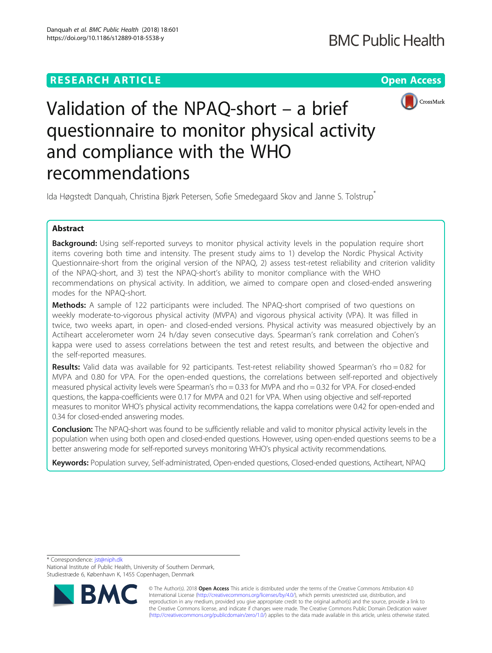# RESEARCH ARTICLE **External of the Contract Contract Contract Contract Contract Contract Contract Contract Contract Contract Contract Contract Contract Contract Contract Contract Contract Contract Contract Contract Contract**



# Validation of the NPAQ-short – a brief questionnaire to monitor physical activity and compliance with the WHO recommendations

Ida Høgstedt Danquah, Christina Bjørk Petersen, Sofie Smedegaard Skov and Janne S. Tolstrup<sup>\*</sup>

# Abstract

**Background:** Using self-reported surveys to monitor physical activity levels in the population require short items covering both time and intensity. The present study aims to 1) develop the Nordic Physical Activity Questionnaire-short from the original version of the NPAQ, 2) assess test-retest reliability and criterion validity of the NPAQ-short, and 3) test the NPAQ-short's ability to monitor compliance with the WHO recommendations on physical activity. In addition, we aimed to compare open and closed-ended answering modes for the NPAQ-short.

Methods: A sample of 122 participants were included. The NPAQ-short comprised of two questions on weekly moderate-to-vigorous physical activity (MVPA) and vigorous physical activity (VPA). It was filled in twice, two weeks apart, in open- and closed-ended versions. Physical activity was measured objectively by an Actiheart accelerometer worn 24 h/day seven consecutive days. Spearman's rank correlation and Cohen's kappa were used to assess correlations between the test and retest results, and between the objective and the self-reported measures.

**Results:** Valid data was available for 92 participants. Test-retest reliability showed Spearman's rho = 0.82 for MVPA and 0.80 for VPA. For the open-ended questions, the correlations between self-reported and objectively measured physical activity levels were Spearman's rho = 0.33 for MVPA and rho = 0.32 for VPA. For closed-ended questions, the kappa-coefficients were 0.17 for MVPA and 0.21 for VPA. When using objective and self-reported measures to monitor WHO's physical activity recommendations, the kappa correlations were 0.42 for open-ended and 0.34 for closed-ended answering modes.

Conclusion: The NPAQ-short was found to be sufficiently reliable and valid to monitor physical activity levels in the population when using both open and closed-ended questions. However, using open-ended questions seems to be a better answering mode for self-reported surveys monitoring WHO's physical activity recommendations.

Keywords: Population survey, Self-administrated, Open-ended questions, Closed-ended questions, Actiheart, NPAQ

\* Correspondence: [jst@niph.dk](mailto:jst@niph.dk)

National Institute of Public Health, University of Southern Denmark, Studiestræde 6, København K, 1455 Copenhagen, Denmark



© The Author(s). 2018 Open Access This article is distributed under the terms of the Creative Commons Attribution 4.0 International License [\(http://creativecommons.org/licenses/by/4.0/](http://creativecommons.org/licenses/by/4.0/)), which permits unrestricted use, distribution, and reproduction in any medium, provided you give appropriate credit to the original author(s) and the source, provide a link to the Creative Commons license, and indicate if changes were made. The Creative Commons Public Domain Dedication waiver [\(http://creativecommons.org/publicdomain/zero/1.0/](http://creativecommons.org/publicdomain/zero/1.0/)) applies to the data made available in this article, unless otherwise stated.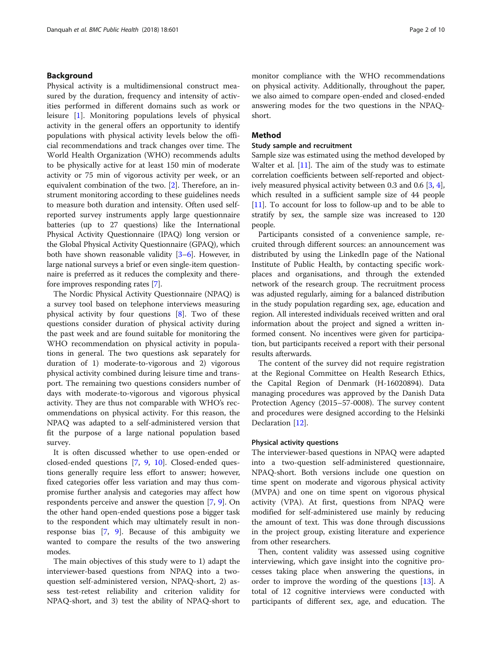# Background

Physical activity is a multidimensional construct measured by the duration, frequency and intensity of activities performed in different domains such as work or leisure [[1\]](#page-8-0). Monitoring populations levels of physical activity in the general offers an opportunity to identify populations with physical activity levels below the official recommendations and track changes over time. The World Health Organization (WHO) recommends adults to be physically active for at least 150 min of moderate activity or 75 min of vigorous activity per week, or an equivalent combination of the two. [\[2\]](#page-8-0). Therefore, an instrument monitoring according to these guidelines needs to measure both duration and intensity. Often used selfreported survey instruments apply large questionnaire batteries (up to 27 questions) like the International Physical Activity Questionnaire (IPAQ) long version or the Global Physical Activity Questionnaire (GPAQ), which both have shown reasonable validity [[3](#page-8-0)–[6](#page-8-0)]. However, in large national surveys a brief or even single-item questionnaire is preferred as it reduces the complexity and therefore improves responding rates [\[7](#page-8-0)].

The Nordic Physical Activity Questionnaire (NPAQ) is a survey tool based on telephone interviews measuring physical activity by four questions  $[8]$  $[8]$  $[8]$ . Two of these questions consider duration of physical activity during the past week and are found suitable for monitoring the WHO recommendation on physical activity in populations in general. The two questions ask separately for duration of 1) moderate-to-vigorous and 2) vigorous physical activity combined during leisure time and transport. The remaining two questions considers number of days with moderate-to-vigorous and vigorous physical activity. They are thus not comparable with WHO's recommendations on physical activity. For this reason, the NPAQ was adapted to a self-administered version that fit the purpose of a large national population based survey.

It is often discussed whether to use open-ended or closed-ended questions [[7](#page-8-0), [9,](#page-8-0) [10\]](#page-8-0). Closed-ended questions generally require less effort to answer; however, fixed categories offer less variation and may thus compromise further analysis and categories may affect how respondents perceive and answer the question [[7,](#page-8-0) [9\]](#page-8-0). On the other hand open-ended questions pose a bigger task to the respondent which may ultimately result in nonresponse bias [\[7](#page-8-0), [9](#page-8-0)]. Because of this ambiguity we wanted to compare the results of the two answering modes.

The main objectives of this study were to 1) adapt the interviewer-based questions from NPAQ into a twoquestion self-administered version, NPAQ-short, 2) assess test-retest reliability and criterion validity for NPAQ-short, and 3) test the ability of NPAQ-short to monitor compliance with the WHO recommendations on physical activity. Additionally, throughout the paper, we also aimed to compare open-ended and closed-ended answering modes for the two questions in the NPAQshort.

# Method

# Study sample and recruitment

Sample size was estimated using the method developed by Walter et al.  $[11]$  $[11]$ . The aim of the study was to estimate correlation coefficients between self-reported and objectively measured physical activity between 0.3 and 0.6 [[3,](#page-8-0) [4](#page-8-0)], which resulted in a sufficient sample size of 44 people [[11](#page-8-0)]. To account for loss to follow-up and to be able to stratify by sex, the sample size was increased to 120 people.

Participants consisted of a convenience sample, recruited through different sources: an announcement was distributed by using the LinkedIn page of the National Institute of Public Health, by contacting specific workplaces and organisations, and through the extended network of the research group. The recruitment process was adjusted regularly, aiming for a balanced distribution in the study population regarding sex, age, education and region. All interested individuals received written and oral information about the project and signed a written informed consent. No incentives were given for participation, but participants received a report with their personal results afterwards.

The content of the survey did not require registration at the Regional Committee on Health Research Ethics, the Capital Region of Denmark (H-16020894). Data managing procedures was approved by the Danish Data Protection Agency (2015–57-0008). The survey content and procedures were designed according to the Helsinki Declaration [\[12\]](#page-8-0).

#### Physical activity questions

The interviewer-based questions in NPAQ were adapted into a two-question self-administered questionnaire, NPAQ-short. Both versions include one question on time spent on moderate and vigorous physical activity (MVPA) and one on time spent on vigorous physical activity (VPA). At first, questions from NPAQ were modified for self-administered use mainly by reducing the amount of text. This was done through discussions in the project group, existing literature and experience from other researchers.

Then, content validity was assessed using cognitive interviewing, which gave insight into the cognitive processes taking place when answering the questions, in order to improve the wording of the questions [\[13](#page-8-0)]. A total of 12 cognitive interviews were conducted with participants of different sex, age, and education. The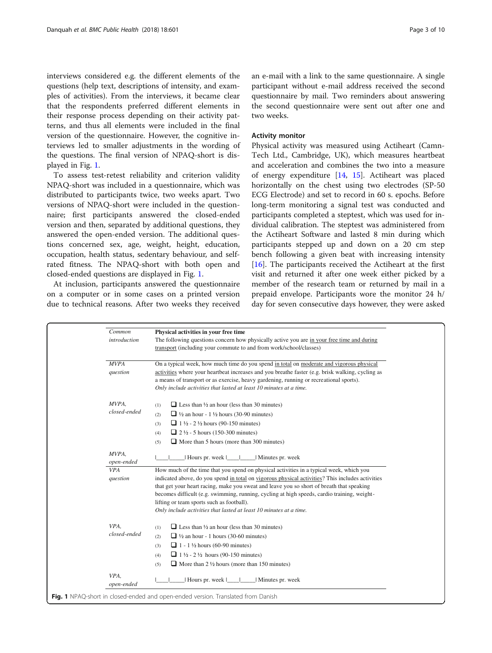interviews considered e.g. the different elements of the questions (help text, descriptions of intensity, and examples of activities). From the interviews, it became clear that the respondents preferred different elements in their response process depending on their activity patterns, and thus all elements were included in the final version of the questionnaire. However, the cognitive interviews led to smaller adjustments in the wording of the questions. The final version of NPAQ-short is displayed in Fig. 1.

To assess test-retest reliability and criterion validity NPAQ-short was included in a questionnaire, which was distributed to participants twice, two weeks apart. Two versions of NPAQ-short were included in the questionnaire; first participants answered the closed-ended version and then, separated by additional questions, they answered the open-ended version. The additional questions concerned sex, age, weight, height, education, occupation, health status, sedentary behaviour, and selfrated fitness. The NPAQ-short with both open and closed-ended questions are displayed in Fig. 1.

At inclusion, participants answered the questionnaire on a computer or in some cases on a printed version due to technical reasons. After two weeks they received an e-mail with a link to the same questionnaire. A single participant without e-mail address received the second questionnaire by mail. Two reminders about answering the second questionnaire were sent out after one and two weeks.

# Activity monitor

Physical activity was measured using Actiheart (Camn-Tech Ltd., Cambridge, UK), which measures heartbeat and acceleration and combines the two into a measure of energy expenditure [[14,](#page-8-0) [15\]](#page-8-0). Actiheart was placed horizontally on the chest using two electrodes (SP-50 ECG Electrode) and set to record in 60 s. epochs. Before long-term monitoring a signal test was conducted and participants completed a steptest, which was used for individual calibration. The steptest was administered from the Actiheart Software and lasted 8 min during which participants stepped up and down on a 20 cm step bench following a given beat with increasing intensity [[16\]](#page-8-0). The participants received the Actiheart at the first visit and returned it after one week either picked by a member of the research team or returned by mail in a prepaid envelope. Participants wore the monitor 24 h/ day for seven consecutive days however, they were asked

| Common                   | Physical activities in your free time                                                            |  |  |
|--------------------------|--------------------------------------------------------------------------------------------------|--|--|
| introduction             | The following questions concern how physically active you are in your free time and during       |  |  |
|                          | transport (including your commute to and from work/school/classes)                               |  |  |
| <b>MVPA</b>              | On a typical week, how much time do you spend in total on moderate and vigorous physical         |  |  |
| question                 | activities where your heartbeat increases and you breathe faster (e.g. brisk walking, cycling as |  |  |
|                          | a means of transport or as exercise, heavy gardening, running or recreational sports).           |  |  |
|                          | Only include activities that lasted at least 10 minutes at a time.                               |  |  |
| MVPA,                    | $\Box$ Less than 1/2 an hour (less than 30 minutes)<br>(1)                                       |  |  |
| closed-ended             | $\Box$ 1/2 an hour - 1 1/2 hours (30-90 minutes)<br>(2)                                          |  |  |
|                          | $\Box$ 1 ½ - 2 ½ hours (90-150 minutes)<br>(3)                                                   |  |  |
|                          | 2 $\frac{1}{2}$ - 5 hours (150-300 minutes)<br>(4)                                               |  |  |
|                          | $\Box$ More than 5 hours (more than 300 minutes)<br>(5)                                          |  |  |
| MVPA,                    | Hours pr. week  <br>I Minutes pr. week                                                           |  |  |
| open-ended<br><b>VPA</b> | How much of the time that you spend on physical activities in a typical week, which you          |  |  |
| question                 | indicated above, do you spend in total on vigorous physical activities? This includes activities |  |  |
|                          | that get your heart racing, make you sweat and leave you so short of breath that speaking        |  |  |
|                          | becomes difficult (e.g. swimming, running, cycling at high speeds, cardio training, weight-      |  |  |
|                          | lifting or team sports such as football).                                                        |  |  |
|                          | Only include activities that lasted at least 10 minutes at a time.                               |  |  |
| VPA.                     | $\Box$ Less than 1/2 an hour (less than 30 minutes)<br>(1)                                       |  |  |
| closed-ended             | $\Box$ 1/2 an hour - 1 hours (30-60 minutes)<br>(2)                                              |  |  |
|                          | $\Box$ 1 - 1 ½ hours (60-90 minutes)<br>(3)                                                      |  |  |
|                          | $\Box$ 1 ½ - 2 ½ hours (90-150 minutes)<br>(4)                                                   |  |  |
|                          | $\Box$ More than 2 $\frac{1}{2}$ hours (more than 150 minutes)<br>(5)                            |  |  |
| VPA,<br>open-ended       | Hours pr. week                 Minutes pr. week                                                  |  |  |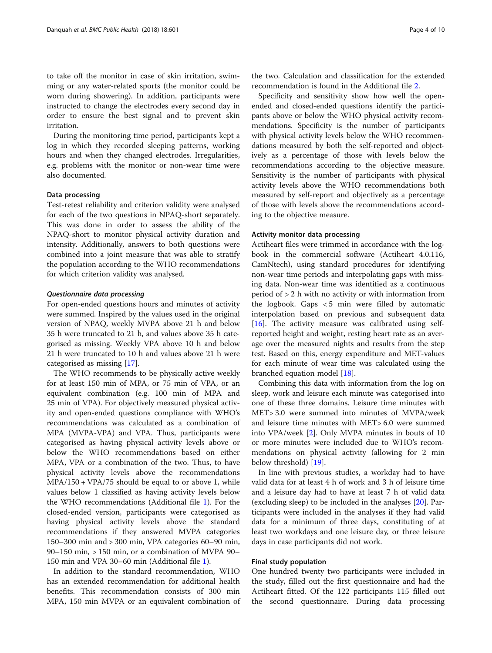to take off the monitor in case of skin irritation, swimming or any water-related sports (the monitor could be worn during showering). In addition, participants were instructed to change the electrodes every second day in order to ensure the best signal and to prevent skin irritation.

During the monitoring time period, participants kept a log in which they recorded sleeping patterns, working hours and when they changed electrodes. Irregularities, e.g. problems with the monitor or non-wear time were also documented.

# Data processing

Test-retest reliability and criterion validity were analysed for each of the two questions in NPAQ-short separately. This was done in order to assess the ability of the NPAQ-short to monitor physical activity duration and intensity. Additionally, answers to both questions were combined into a joint measure that was able to stratify the population according to the WHO recommendations for which criterion validity was analysed.

# Questionnaire data processing

For open-ended questions hours and minutes of activity were summed. Inspired by the values used in the original version of NPAQ, weekly MVPA above 21 h and below 35 h were truncated to 21 h, and values above 35 h categorised as missing. Weekly VPA above 10 h and below 21 h were truncated to 10 h and values above 21 h were categorised as missing [[17\]](#page-8-0).

The WHO recommends to be physically active weekly for at least 150 min of MPA, or 75 min of VPA, or an equivalent combination (e.g. 100 min of MPA and 25 min of VPA). For objectively measured physical activity and open-ended questions compliance with WHO's recommendations was calculated as a combination of MPA (MVPA-VPA) and VPA. Thus, participants were categorised as having physical activity levels above or below the WHO recommendations based on either MPA, VPA or a combination of the two. Thus, to have physical activity levels above the recommendations MPA/150 + VPA/75 should be equal to or above 1, while values below 1 classified as having activity levels below the WHO recommendations (Additional file [1\)](#page-8-0). For the closed-ended version, participants were categorised as having physical activity levels above the standard recommendations if they answered MVPA categories 150–300 min and > 300 min, VPA categories 60–90 min, 90–150 min, > 150 min, or a combination of MVPA 90– 150 min and VPA 30–60 min (Additional file [1](#page-8-0)).

In addition to the standard recommendation, WHO has an extended recommendation for additional health benefits. This recommendation consists of 300 min MPA, 150 min MVPA or an equivalent combination of

Specificity and sensitivity show how well the openended and closed-ended questions identify the participants above or below the WHO physical activity recommendations. Specificity is the number of participants with physical activity levels below the WHO recommendations measured by both the self-reported and objectively as a percentage of those with levels below the recommendations according to the objective measure. Sensitivity is the number of participants with physical activity levels above the WHO recommendations both measured by self-report and objectively as a percentage of those with levels above the recommendations according to the objective measure.

recommendation is found in the Additional file [2.](#page-8-0)

## Activity monitor data processing

Actiheart files were trimmed in accordance with the logbook in the commercial software (Actiheart 4.0.116, CamNtech), using standard procedures for identifying non-wear time periods and interpolating gaps with missing data. Non-wear time was identified as a continuous period of > 2 h with no activity or with information from the logbook. Gaps  $<$  5 min were filled by automatic interpolation based on previous and subsequent data [[16\]](#page-8-0). The activity measure was calibrated using selfreported height and weight, resting heart rate as an average over the measured nights and results from the step test. Based on this, energy expenditure and MET-values for each minute of wear time was calculated using the branched equation model [[18\]](#page-9-0).

Combining this data with information from the log on sleep, work and leisure each minute was categorised into one of these three domains. Leisure time minutes with MET> 3.0 were summed into minutes of MVPA/week and leisure time minutes with MET> 6.0 were summed into VPA/week [\[2](#page-8-0)]. Only MVPA minutes in bouts of 10 or more minutes were included due to WHO's recommendations on physical activity (allowing for 2 min below threshold) [[19](#page-9-0)].

In line with previous studies, a workday had to have valid data for at least 4 h of work and 3 h of leisure time and a leisure day had to have at least 7 h of valid data (excluding sleep) to be included in the analyses [[20](#page-9-0)]. Participants were included in the analyses if they had valid data for a minimum of three days, constituting of at least two workdays and one leisure day, or three leisure days in case participants did not work.

# Final study population

One hundred twenty two participants were included in the study, filled out the first questionnaire and had the Actiheart fitted. Of the 122 participants 115 filled out the second questionnaire. During data processing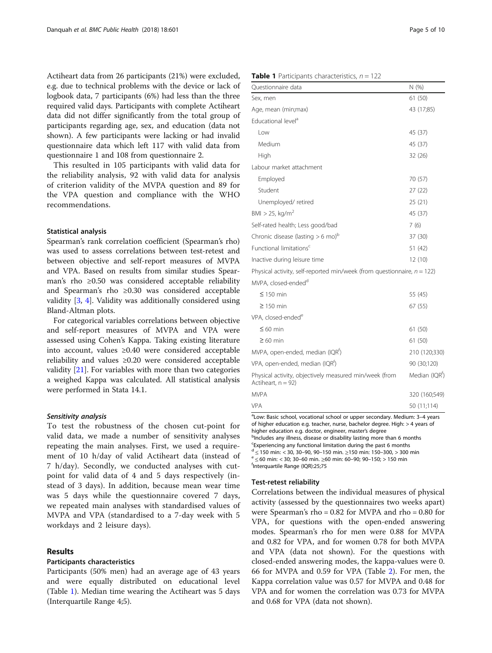Actiheart data from 26 participants (21%) were excluded, e.g. due to technical problems with the device or lack of logbook data, 7 participants (6%) had less than the three required valid days. Participants with complete Actiheart data did not differ significantly from the total group of participants regarding age, sex, and education (data not shown). A few participants were lacking or had invalid questionnaire data which left 117 with valid data from questionnaire 1 and 108 from questionnaire 2.

This resulted in 105 participants with valid data for the reliability analysis, 92 with valid data for analysis of criterion validity of the MVPA question and 89 for the VPA question and compliance with the WHO recommendations.

# Statistical analysis

Spearman's rank correlation coefficient (Spearman's rho) was used to assess correlations between test-retest and between objective and self-report measures of MVPA and VPA. Based on results from similar studies Spearman's rho ≥0.50 was considered acceptable reliability and Spearman's rho ≥0.30 was considered acceptable validity [[3,](#page-8-0) [4](#page-8-0)]. Validity was additionally considered using Bland-Altman plots.

For categorical variables correlations between objective and self-report measures of MVPA and VPA were assessed using Cohen's Kappa. Taking existing literature into account, values ≥0.40 were considered acceptable reliability and values ≥0.20 were considered acceptable validity [\[21\]](#page-9-0). For variables with more than two categories a weighed Kappa was calculated. All statistical analysis were performed in Stata 14.1.

#### Sensitivity analysis

To test the robustness of the chosen cut-point for valid data, we made a number of sensitivity analyses repeating the main analyses. First, we used a requirement of 10 h/day of valid Actiheart data (instead of 7 h/day). Secondly, we conducted analyses with cutpoint for valid data of 4 and 5 days respectively (instead of 3 days). In addition, because mean wear time was 5 days while the questionnaire covered 7 days, we repeated main analyses with standardised values of MVPA and VPA (standardised to a 7-day week with 5 workdays and 2 leisure days).

# Results

# Participants characteristics

Participants (50% men) had an average age of 43 years and were equally distributed on educational level (Table 1). Median time wearing the Actiheart was 5 days (Interquartile Range 4;5).

| <b>Table 1</b> Participants characteristics, $n = 122$ |
|--------------------------------------------------------|
| Questionnaire data                                     |

| Ouestionnaire data                                                              | N (%)                      |
|---------------------------------------------------------------------------------|----------------------------|
| Sex, men                                                                        | 61 (50)                    |
| Age, mean (min;max)                                                             | 43 (17;85)                 |
| Educational level <sup>a</sup>                                                  |                            |
| Low                                                                             | 45 (37)                    |
| Medium                                                                          | 45 (37)                    |
| High                                                                            | 32 (26)                    |
| Labour market attachment                                                        |                            |
| Employed                                                                        | 70 (57)                    |
| Student                                                                         | 27 (22)                    |
| Unemployed/retired                                                              | 25(21)                     |
| $BMI > 25$ , kg/m <sup>2</sup>                                                  | 45 (37)                    |
| Self-rated health; Less good/bad                                                | 7(6)                       |
| Chronic disease (lasting $> 6$ mo) <sup>b</sup>                                 | 37 (30)                    |
| Functional limitations <sup>c</sup>                                             | 51 (42)                    |
| Inactive during leisure time                                                    | 12 (10)                    |
| Physical activity, self-reported min/week (from questionnaire, $n = 122$ )      |                            |
| MVPA, closed-ended <sup>d</sup>                                                 |                            |
| $\leq$ 150 min                                                                  | 55 (45)                    |
| $\geq$ 150 min                                                                  | 67 (55)                    |
| VPA, closed-ended <sup>e</sup>                                                  |                            |
| $\leq 60$ min                                                                   | 61(50)                     |
| ≥60 min                                                                         | 61 (50)                    |
| MVPA, open-ended, median (IQR <sup>T</sup> )                                    | 210 (120;330)              |
| VPA, open-ended, median (IQR <sup>t</sup> )                                     | 90 (30;120)                |
| Physical activity, objectively measured min/week (from<br>Actiheart, $n = 92$ ) | Median (IQR <sup>f</sup> ) |
| <b>MVPA</b>                                                                     | 320 (160;549)              |
| <b>VPA</b>                                                                      | 50 (11;114)                |

<sup>a</sup>Low: Basic school, vocational school or upper secondary. Medium: 3-4 years of higher education e.g. teacher, nurse, bachelor degree. High: > 4 years of higher education e.g. doctor, engineer, master's degree <sup>b</sup>Includes any illness, disease or disability lasting more than 6 months Experiencing any functional limitation during the past 6 months <sup>d</sup> ≤ 150 min: < 30, 30–90, 90–150 min. ≥150 min: 150–300, > 300 min<br><sup>e</sup> ≤ 60 min: < 30; 30–60 min. ≥60 min: 60–90; 90–150; > 150 min <sup>f</sup>Interquartile Range (IQR):25:75

#### Test-retest reliability

Correlations between the individual measures of physical activity (assessed by the questionnaires two weeks apart) were Spearman's rho = 0.82 for MVPA and rho = 0.80 for VPA, for questions with the open-ended answering modes. Spearman's rho for men were 0.88 for MVPA and 0.82 for VPA, and for women 0.78 for both MVPA and VPA (data not shown). For the questions with closed-ended answering modes, the kappa-values were 0. 66 for MVPA and 0.59 for VPA (Table [2](#page-5-0)). For men, the Kappa correlation value was 0.57 for MVPA and 0.48 for VPA and for women the correlation was 0.73 for MVPA and 0.68 for VPA (data not shown).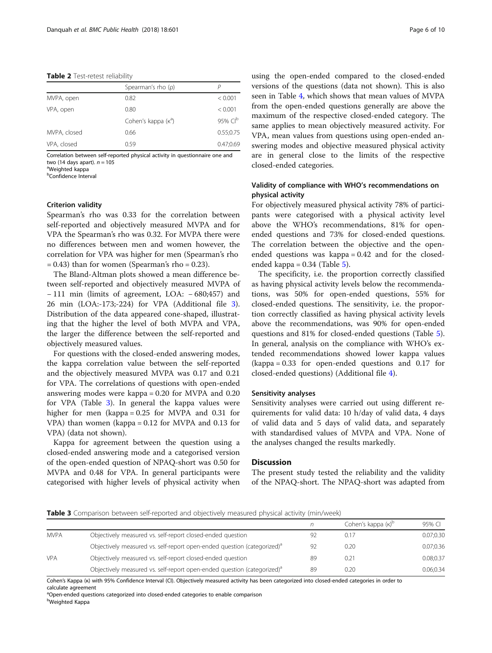#### <span id="page-5-0"></span>Table 2 Test-retest reliability

| Spearman's rho $(\rho)$ |                                 |           |  |
|-------------------------|---------------------------------|-----------|--|
| MVPA, open              | 0.82                            | < 0.001   |  |
| VPA, open               | 0.80                            | < 0.001   |  |
|                         | Cohen's kappa (K <sup>a</sup> ) | 95% Clb   |  |
| MVPA, closed            | 0.66                            | 0.55;0.75 |  |
| VPA, closed             | 0.59                            | 0.47:0.69 |  |

Correlation between self-reported physical activity in questionnaire one and two (14 days apart).  $n = 105$ <sup>a</sup>Weighted kappa

<sup>b</sup>Confidence Interval

# Criterion validity

Spearman's rho was 0.33 for the correlation between self-reported and objectively measured MVPA and for VPA the Spearman's rho was 0.32. For MVPA there were no differences between men and women however, the correlation for VPA was higher for men (Spearman's rho  $= 0.43$ ) than for women (Spearman's rho  $= 0.23$ ).

The Bland-Altman plots showed a mean difference between self-reported and objectively measured MVPA of − 111 min (limits of agreement, LOA: − 680;457) and 26 min (LOA:-173;-224) for VPA (Additional file [3](#page-8-0)). Distribution of the data appeared cone-shaped, illustrating that the higher the level of both MVPA and VPA, the larger the difference between the self-reported and objectively measured values.

For questions with the closed-ended answering modes, the kappa correlation value between the self-reported and the objectively measured MVPA was 0.17 and 0.21 for VPA. The correlations of questions with open-ended answering modes were kappa = 0.20 for MVPA and 0.20 for VPA (Table 3). In general the kappa values were higher for men (kappa = 0.25 for MVPA and 0.31 for VPA) than women (kappa = 0.12 for MVPA and 0.13 for VPA) (data not shown).

Kappa for agreement between the question using a closed-ended answering mode and a categorised version of the open-ended question of NPAQ-short was 0.50 for MVPA and 0.48 for VPA. In general participants were categorised with higher levels of physical activity when using the open-ended compared to the closed-ended versions of the questions (data not shown). This is also seen in Table [4,](#page-6-0) which shows that mean values of MVPA from the open-ended questions generally are above the maximum of the respective closed-ended category. The same applies to mean objectively measured activity. For VPA, mean values from questions using open-ended answering modes and objective measured physical activity are in general close to the limits of the respective closed-ended categories.

# Validity of compliance with WHO's recommendations on physical activity

For objectively measured physical activity 78% of participants were categorised with a physical activity level above the WHO's recommendations, 81% for openended questions and 73% for closed-ended questions. The correlation between the objective and the openended questions was kappa = 0.42 and for the closedended kappa = 0.34 (Table [5](#page-7-0)).

The specificity, i.e. the proportion correctly classified as having physical activity levels below the recommendations, was 50% for open-ended questions, 55% for closed-ended questions. The sensitivity, i.e. the proportion correctly classified as having physical activity levels above the recommendations, was 90% for open-ended questions and 81% for closed-ended questions (Table [5](#page-7-0)). In general, analysis on the compliance with WHO's extended recommendations showed lower kappa values (kappa = 0.33 for open-ended questions and 0.17 for closed-ended questions) (Additional file [4\)](#page-8-0).

# Sensitivity analyses

Sensitivity analyses were carried out using different requirements for valid data: 10 h/day of valid data, 4 days of valid data and 5 days of valid data, and separately with standardised values of MVPA and VPA. None of the analyses changed the results markedly.

# **Discussion**

The present study tested the reliability and the validity of the NPAQ-short. The NPAQ-short was adapted from

**Table 3** Comparison between self-reported and objectively measured physical activity (min/week)

|             |                                                                                     | n  | Cohen's kappa $(k)^{D}$ | 95% CI    |
|-------------|-------------------------------------------------------------------------------------|----|-------------------------|-----------|
| <b>MVPA</b> | Objectively measured vs. self-report closed-ended question                          | 92 | 0.17                    | 0.07;0.30 |
|             | Objectively measured vs. self-report open-ended question (categorized) <sup>a</sup> | 92 | 0.20                    | 0.07;0.36 |
| <b>VPA</b>  | Objectively measured vs. self-report closed-ended question                          | 89 | 0.21                    | 0.08;0.37 |
|             | Objectively measured vs. self-report open-ended question (categorized) <sup>a</sup> | 89 | 0.20                    | 0.06:0.34 |

Cohen's Kappa (к) with 95% Confidence Interval (CI). Objectively measured activity has been categorized into closed-ended categories in order to calculate agreement

<sup>a</sup>Open-ended questions categorized into closed-ended categories to enable comparison

b Weighted Kappa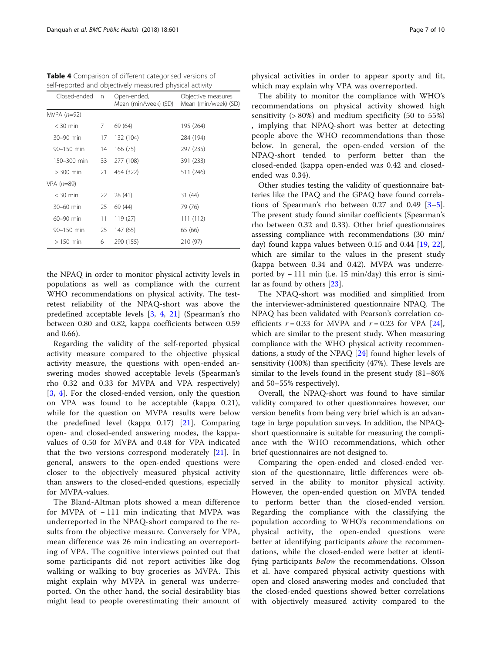<span id="page-6-0"></span>Table 4 Comparison of different categorised versions of self-reported and objectively measured physical activity

| Closed-ended    | n  | Open-ended,<br>Mean (min/week) (SD) | Objective measures<br>Mean (min/week) (SD) |
|-----------------|----|-------------------------------------|--------------------------------------------|
| MVPA $(n=92)$   |    |                                     |                                            |
| $<$ 30 min      | 7  | 69 (64)                             | 195 (264)                                  |
| $30 - 90$ min   | 17 | 132 (104)                           | 284 (194)                                  |
| 90-150 min      | 14 | 166 (75)                            | 297 (235)                                  |
| $150 - 300$ min | 33 | 277 (108)                           | 391 (233)                                  |
| $> 300$ min     | 21 | 454 (322)                           | 511 (246)                                  |
| $VPA (n=89)$    |    |                                     |                                            |
| $<$ 30 min      | 22 | 28(41)                              | 31 (44)                                    |
| 30-60 min       | 25 | 69 (44)                             | 79 (76)                                    |
| $60 - 90$ min   | 11 | 119 (27)                            | 111 (112)                                  |
| $90 - 150$ min  | 25 | 147 (65)                            | 65 (66)                                    |
| $>150$ min      | 6  | 290 (155)                           | 210 (97)                                   |

the NPAQ in order to monitor physical activity levels in populations as well as compliance with the current WHO recommendations on physical activity. The testretest reliability of the NPAQ-short was above the predefined acceptable levels [[3,](#page-8-0) [4](#page-8-0), [21](#page-9-0)] (Spearman's rho between 0.80 and 0.82, kappa coefficients between 0.59 and 0.66).

Regarding the validity of the self-reported physical activity measure compared to the objective physical activity measure, the questions with open-ended answering modes showed acceptable levels (Spearman's rho 0.32 and 0.33 for MVPA and VPA respectively) [[3,](#page-8-0) [4](#page-8-0)]. For the closed-ended version, only the question on VPA was found to be acceptable (kappa 0.21), while for the question on MVPA results were below the predefined level (kappa 0.17) [[21](#page-9-0)]. Comparing open- and closed-ended answering modes, the kappavalues of 0.50 for MVPA and 0.48 for VPA indicated that the two versions correspond moderately [\[21](#page-9-0)]. In general, answers to the open-ended questions were closer to the objectively measured physical activity than answers to the closed-ended questions, especially for MVPA-values.

The Bland-Altman plots showed a mean difference for MVPA of − 111 min indicating that MVPA was underreported in the NPAQ-short compared to the results from the objective measure. Conversely for VPA, mean difference was 26 min indicating an overreporting of VPA. The cognitive interviews pointed out that some participants did not report activities like dog walking or walking to buy groceries as MVPA. This might explain why MVPA in general was underreported. On the other hand, the social desirability bias might lead to people overestimating their amount of

physical activities in order to appear sporty and fit, which may explain why VPA was overreported.

The ability to monitor the compliance with WHO's recommendations on physical activity showed high sensitivity (> 80%) and medium specificity (50 to 55%) , implying that NPAQ-short was better at detecting people above the WHO recommendations than those below. In general, the open-ended version of the NPAQ-short tended to perform better than the closed-ended (kappa open-ended was 0.42 and closedended was 0.34).

Other studies testing the validity of questionnaire batteries like the IPAQ and the GPAQ have found correlations of Spearman's rho between 0.27 and 0.49 [\[3](#page-8-0)–[5](#page-8-0)]. The present study found similar coefficients (Spearman's rho between 0.32 and 0.33). Other brief questionnaires assessing compliance with recommendations (30 min/ day) found kappa values between 0.15 and 0.44 [[19,](#page-9-0) [22](#page-9-0)], which are similar to the values in the present study (kappa between 0.34 and 0.42). MVPA was underreported by − 111 min (i.e. 15 min/day) this error is similar as found by others [\[23](#page-9-0)].

The NPAQ-short was modified and simplified from the interviewer-administered questionnaire NPAQ. The NPAQ has been validated with Pearson's correlation coefficients  $r = 0.33$  for MVPA and  $r = 0.23$  for VPA [\[24](#page-9-0)], which are similar to the present study. When measuring compliance with the WHO physical activity recommendations, a study of the NPAQ [[24\]](#page-9-0) found higher levels of sensitivity (100%) than specificity (47%). These levels are similar to the levels found in the present study (81–86% and 50–55% respectively).

Overall, the NPAQ-short was found to have similar validity compared to other questionnaires however, our version benefits from being very brief which is an advantage in large population surveys. In addition, the NPAQshort questionnaire is suitable for measuring the compliance with the WHO recommendations, which other brief questionnaires are not designed to.

Comparing the open-ended and closed-ended version of the questionnaire, little differences were observed in the ability to monitor physical activity. However, the open-ended question on MVPA tended to perform better than the closed-ended version. Regarding the compliance with the classifying the population according to WHO's recommendations on physical activity, the open-ended questions were better at identifying participants *above* the recommendations, while the closed-ended were better at identifying participants below the recommendations. Olsson et al. have compared physical activity questions with open and closed answering modes and concluded that the closed-ended questions showed better correlations with objectively measured activity compared to the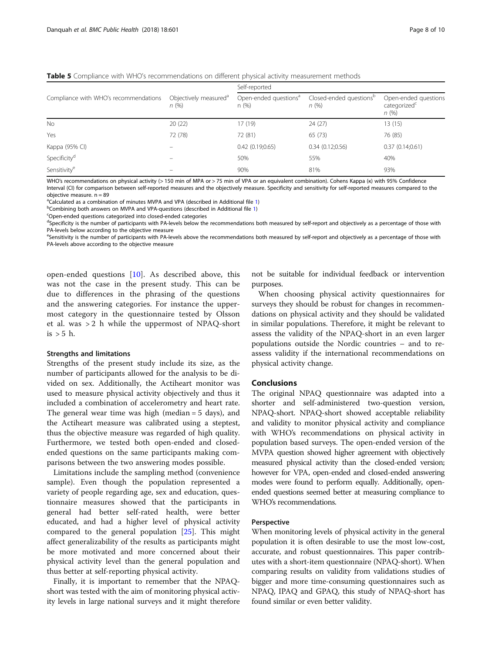<span id="page-7-0"></span>

| <b>Table 5</b> Compliance with WHO's recommendations on different physical activity measurement methods |  |
|---------------------------------------------------------------------------------------------------------|--|
|---------------------------------------------------------------------------------------------------------|--|

|                                       | Objectively measured <sup>®</sup><br>n(%) | Self-reported                              |                                             |                                                          |  |
|---------------------------------------|-------------------------------------------|--------------------------------------------|---------------------------------------------|----------------------------------------------------------|--|
| Compliance with WHO's recommendations |                                           | Open-ended questions <sup>a</sup><br>n (%) | Closed-ended questions <sup>b</sup><br>n(%) | Open-ended questions<br>categorized <sup>c</sup><br>n(%) |  |
| <b>No</b>                             | 20(22)                                    | 17 (19)                                    | 24(27)                                      | 13 (15)                                                  |  |
| Yes                                   | 72 (78)                                   | 72 (81)                                    | 65(73)                                      | 76 (85)                                                  |  |
| Kappa (95% CI)                        |                                           | 0.42(0.19;0.65)                            | 0.34(0.12;0.56)                             | 0.37(0.14;0.61)                                          |  |
| Specificity <sup>d</sup>              |                                           | 50%                                        | 55%                                         | 40%                                                      |  |
| Sensitivity <sup>e</sup>              |                                           | 90%                                        | 81%                                         | 93%                                                      |  |

WHO's recommendations on physical activity (> 150 min of MPA or > 75 min of VPA or an equivalent combination). Cohens Kappa (k) with 95% Confidence Interval (CI) for comparison between self-reported measures and the objectively measure. Specificity and sensitivity for self-reported measures compared to the objective measure. n = 89

<sup>a</sup>Calculated as a combination of minutes MVPA and VPA (described in Additional file [1](#page-8-0))<br><sup>b</sup>Combining both answers an MVPA and VPA quottions (described in Additional file 1)

 $b$ Combining both answers on MVPA and VPA-questions (described in Additional file [1\)](#page-8-0)

Open-ended questions categorized into closed-ended categories

<sup>d</sup>Specificity is the number of participants with PA-levels below the recommendations both measured by self-report and objectively as a percentage of those with PA-levels below according to the objective measure

eSensitivity is the number of participants with PA-levels above the recommendations both measured by self-report and objectively as a percentage of those with PA-levels above according to the objective measure

open-ended questions [\[10](#page-8-0)]. As described above, this was not the case in the present study. This can be due to differences in the phrasing of the questions and the answering categories. For instance the uppermost category in the questionnaire tested by Olsson et al. was > 2 h while the uppermost of NPAQ-short  $is > 5$  h.

# Strengths and limitations

Strengths of the present study include its size, as the number of participants allowed for the analysis to be divided on sex. Additionally, the Actiheart monitor was used to measure physical activity objectively and thus it included a combination of accelerometry and heart rate. The general wear time was high (median = 5 days), and the Actiheart measure was calibrated using a steptest, thus the objective measure was regarded of high quality. Furthermore, we tested both open-ended and closedended questions on the same participants making comparisons between the two answering modes possible.

Limitations include the sampling method (convenience sample). Even though the population represented a variety of people regarding age, sex and education, questionnaire measures showed that the participants in general had better self-rated health, were better educated, and had a higher level of physical activity compared to the general population [\[25](#page-9-0)]. This might affect generalizability of the results as participants might be more motivated and more concerned about their physical activity level than the general population and thus better at self-reporting physical activity.

Finally, it is important to remember that the NPAQshort was tested with the aim of monitoring physical activity levels in large national surveys and it might therefore not be suitable for individual feedback or intervention purposes.

When choosing physical activity questionnaires for surveys they should be robust for changes in recommendations on physical activity and they should be validated in similar populations. Therefore, it might be relevant to assess the validity of the NPAQ-short in an even larger populations outside the Nordic countries – and to reassess validity if the international recommendations on physical activity change.

# Conclusions

The original NPAQ questionnaire was adapted into a shorter and self-administered two-question version, NPAQ-short. NPAQ-short showed acceptable reliability and validity to monitor physical activity and compliance with WHO's recommendations on physical activity in population based surveys. The open-ended version of the MVPA question showed higher agreement with objectively measured physical activity than the closed-ended version; however for VPA, open-ended and closed-ended answering modes were found to perform equally. Additionally, openended questions seemed better at measuring compliance to WHO's recommendations.

# Perspective

When monitoring levels of physical activity in the general population it is often desirable to use the most low-cost, accurate, and robust questionnaires. This paper contributes with a short-item questionnaire (NPAQ-short). When comparing results on validity from validations studies of bigger and more time-consuming questionnaires such as NPAQ, IPAQ and GPAQ, this study of NPAQ-short has found similar or even better validity.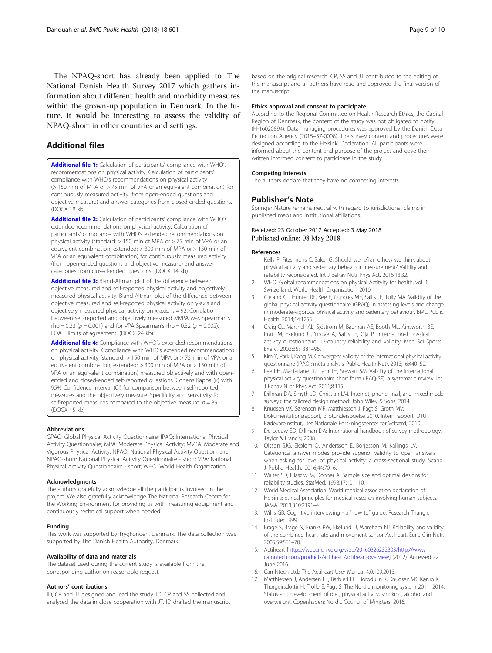<span id="page-8-0"></span>The NPAQ-short has already been applied to The National Danish Health Survey 2017 which gathers information about different health and morbidity measures within the grown-up population in Denmark. In the future, it would be interesting to assess the validity of NPAQ-short in other countries and settings.

# Additional files

[Additional file 1:](https://doi.org/10.1186/s12889-018-5538-y) Calculation of participants' compliance with WHO's recommendations on physical activity. Calculation of participants' compliance with WHO's recommendations on physical activity (> 150 min of MPA or > 75 min of VPA or an equivalent combination) for continuously measured activity (from open-ended questions and objective measure) and answer categories from closed-ended questions. (DOCX 18 kb)

[Additional file 2:](https://doi.org/10.1186/s12889-018-5538-y) Calculation of participants' compliance with WHO's extended recommendations on physical activity. Calculation of participants' compliance with WHO's extended recommendations on physical activity (standard: > 150 min of MPA or > 75 min of VPA or an equivalent combination, extended: > 300 min of MPA or > 150 min of VPA or an equivalent combination) for continuously measured activity (from open-ended questions and objective measure) and answer categories from closed-ended questions. (DOCX 14 kb)

[Additional file 3:](https://doi.org/10.1186/s12889-018-5538-y) Bland-Altman plot of the difference between objective measured and self-reported physical activity and objectively measured physical activity. Bland-Altman plot of the difference between objective measured and self-reported physical activity on y-axis and objectively measured physical activity on x-axis,  $n = 92$ . Correlation between self-reported and objectively measured MVPA was Spearman's rho = 0.33 ( $p = 0.001$ ) and for VPA Spearman's rho = 0.32 ( $p = 0.002$ ). LOA = limits of agreement. (DOCX 24 kb)

[Additional file 4:](https://doi.org/10.1186/s12889-018-5538-y) Compliance with WHO's extended recommendations on physical activity. Compliance with WHO's extended recommendations on physical activity (standard: > 150 min of MPA or > 75 min of VPA or an equivalent combination, extended: > 300 min of MPA or > 150 min of VPA or an equivalent combination) measured objectively and with openended and closed-ended self-reported questions. Cohens Kappa (к) with 95% Confidence Interval (CI) for comparison between self-reported measures and the objectively measure. Specificity and sensitivity for self-reported measures compared to the objective measure.  $n = 89$ . (DOCX 15 kb)

#### Abbreviations

GPAQ: Global Physical Activity Questionnaire; IPAQ: International Physical Activity Questionnaire; MPA: Moderate Physical Activity; MVPA: Moderate and Vigorous Physical Activity; NPAQ: National Physical Activity Questionnaire; NPAQ-short: National Physical Activity Questionnaire - short; VPA: National Physical Activity Questionnaire - short; WHO: World Health Organization

#### Acknowledgments

The authors gratefully acknowledge all the participants involved in the project. We also gratefully acknowledge The National Research Centre for the Working Environment for providing us with measuring equipment and continuously technical support when needed.

#### Funding

This work was supported by TrygFonden, Denmark. The data collection was supported by The Danish Health Authority, Denmark.

#### Availability of data and materials

The dataset used during the current study is available from the corresponding author on reasonable request.

#### Authors' contributions

ID, CP and JT designed and lead the study. ID, CP and SS collected and analysed the data in close cooperation with JT. ID drafted the manuscript

#### Ethics approval and consent to participate

According to the Regional Committee on Health Research Ethics, the Capital Region of Denmark, the content of the study was not obligated to notify (H-16020894). Data managing procedures was approved by the Danish Data Protection Agency (2015–57-0008). The survey content and procedures were designed according to the Helsinki Declaration. All participants were informed about the content and purpose of the project and gave their written informed consent to participate in the study.

#### Competing interests

The authors declare that they have no competing interests.

# Publisher's Note

Springer Nature remains neutral with regard to jurisdictional claims in published maps and institutional affiliations.

# Received: 23 October 2017 Accepted: 3 May 2018 Published online: 08 May 2018

#### References

- 1. Kelly P, Fitzsimons C, Baker G. Should we reframe how we think about physical activity and sedentary behaviour measurement? Validity and reliability reconsidered. Int J Behav Nutr Phys Act. 2016;13:32.
- 2. WHO. Global recommendations on physical Actitvity for health, vol. 1. Switzerland: World Health Organization; 2010.
- 3. Cleland CL, Hunter RF, Kee F, Cupples ME, Sallis JF, Tully MA. Validity of the global physical activity questionnaire (GPAQ) in assessing levels and change in moderate-vigorous physical activity and sedentary behaviour. BMC Public Health. 2014;14:1255.
- 4. Craig CL, Marshall AL, Sjöström M, Bauman AE, Booth ML, Ainsworth BE, Pratt M, Ekelund U, Yngve A, Sallis JF, Oja P. International physical activity questionnaire: 12-country reliability and validity. Med Sci Sports Exerc. 2003;35:1381–95.
- 5. Kim Y, Park I, Kang M. Convergent validity of the international physical activity questionnaire (IPAQ): meta-analysis. Public Health Nutr. 2013;16:440–52.
- 6. Lee PH, Macfarlane DJ, Lam TH, Stewart SM. Validity of the international physical activity questionnaire short form (IPAQ-SF): a systematic review. Int J Behav Nutr Phys Act. 2011;8:115.
- 7. Dillman DA, Smyth JD, Christian LM. Internet, phone, mail, and mixed-mode surveys: the tailored design method: John Wiley & Sons; 2014.
- 8. Knudsen VK, Sørensen MR, Matthiessen J, Fagt S, Groth MV: Dokumentationsrapport, pilotundersøgelse 2010. Intern rapport. DTU Fødevareinstitut, Det Nationale Forskningscenter for Velfærd; 2010.
- De Leeuw ED, Dillman DA: International handbook of survey methodology. Taylor & Francis; 2008.
- 10. Olsson SJG, Ekblom O, Andersson E, Borjesson M, Kallings LV. Categorical answer modes provide superior validity to open answers when asking for level of physical activity: a cross-sectional study. Scand J Public Health. 2016;44:70–6.
- 11. Walter SD, Eliasziw M, Donner A. Sample size and optimal designs for reliability studies. StatMed. 1998;17:101–10.
- 12. World Medical Association. World medical association declaration of Helsinki: ethical principles for medical research involving human subjects. JAMA. 2013;310:2191–4.
- 13. Willis GB. Cognitive interviewing a "how to" guide: Research Triangle Institute; 1999.
- 14. Brage S, Brage N, Franks PW, Ekelund U, Wareham NJ. Reliability and validity of the combined heart rate and movement sensor Actiheart. Eur J Clin Nutr. 2005;59:561–70.
- 15. Actiheart [\[https://web.archive.org/web/20160326232303/http://www.](https://web.archive.org/web/20160326232303/http://www.camntech.com/products/actiheart/actiheart-overview) [camntech.com/products/actiheart/actiheart-overview](https://web.archive.org/web/20160326232303/http://www.camntech.com/products/actiheart/actiheart-overview)] (2012). Accessed 22 June 2016.
- 16. CamNtech Ltd.: The Actiheart User Manual 4.0.109.2013.
- 17. Matthiessen J, Andersen LF, Barbieri HE, Borodulin K, Knudsen VK, Kørup K, Thorgeirsdottir H, Trolle E, Fagt S. The Nordic monitoring system 2011–2014. Status and development of diet, physical activity, smoking, alcohol and overweight. Copenhagen: Nordic Council of Ministers; 2016.